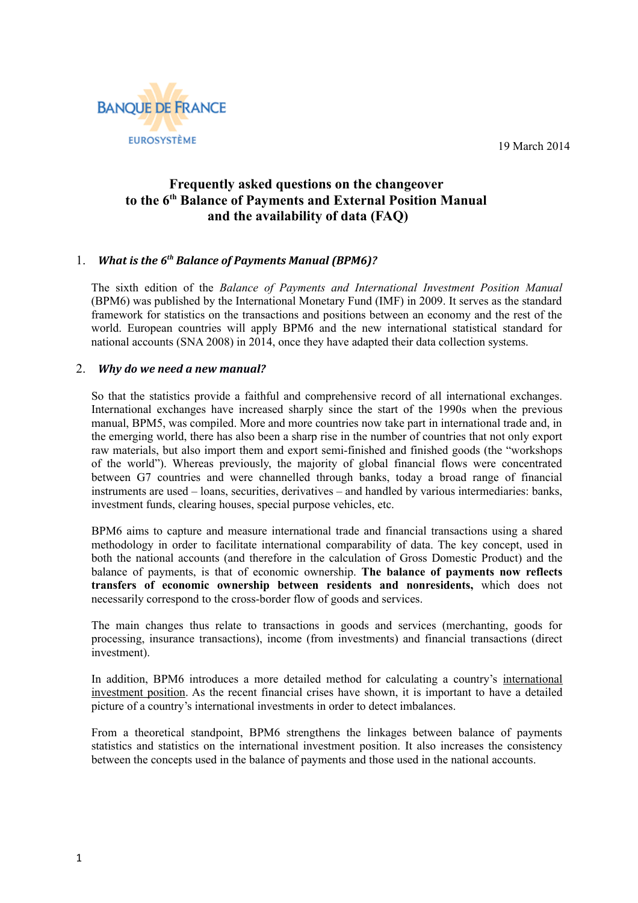19 March 2014



## **Frequently asked questions on the changeover to the 6th Balance of Payments and External Position Manual and the availability of data (FAQ)**

### 1. *What is the 6<sup>th</sup> Balance of Payments Manual (BPM6)?*

The sixth edition of the *Balance of Payments and International Investment Position Manual* (BPM6) was published by the International Monetary Fund (IMF) in 2009. It serves as the standard framework for statistics on the transactions and positions between an economy and the rest of the world. European countries will apply BPM6 and the new international statistical standard for national accounts (SNA 2008) in 2014, once they have adapted their data collection systems.

#### 2. *Why do we need a new manual?*

So that the statistics provide a faithful and comprehensive record of all international exchanges. International exchanges have increased sharply since the start of the 1990s when the previous manual, BPM5, was compiled. More and more countries now take part in international trade and, in the emerging world, there has also been a sharp rise in the number of countries that not only export raw materials, but also import them and export semi-finished and finished goods (the "workshops of the world"). Whereas previously, the majority of global financial flows were concentrated between G7 countries and were channelled through banks, today a broad range of financial instruments are used – loans, securities, derivatives – and handled by various intermediaries: banks, investment funds, clearing houses, special purpose vehicles, etc.

BPM6 aims to capture and measure international trade and financial transactions using a shared methodology in order to facilitate international comparability of data. The key concept, used in both the national accounts (and therefore in the calculation of Gross Domestic Product) and the balance of payments, is that of economic ownership. **The balance of payments now reflects transfers of economic ownership between residents and nonresidents,** which does not necessarily correspond to the cross-border flow of goods and services.

The main changes thus relate to transactions in goods and services (merchanting, goods for processing, insurance transactions), income (from investments) and financial transactions (direct investment).

In addition, BPM6 introduces a more detailed method for calculating a country's international investment position. As the recent financial crises have shown, it is important to have a detailed picture of a country's international investments in order to detect imbalances.

From a theoretical standpoint, BPM6 strengthens the linkages between balance of payments statistics and statistics on the international investment position. It also increases the consistency between the concepts used in the balance of payments and those used in the national accounts.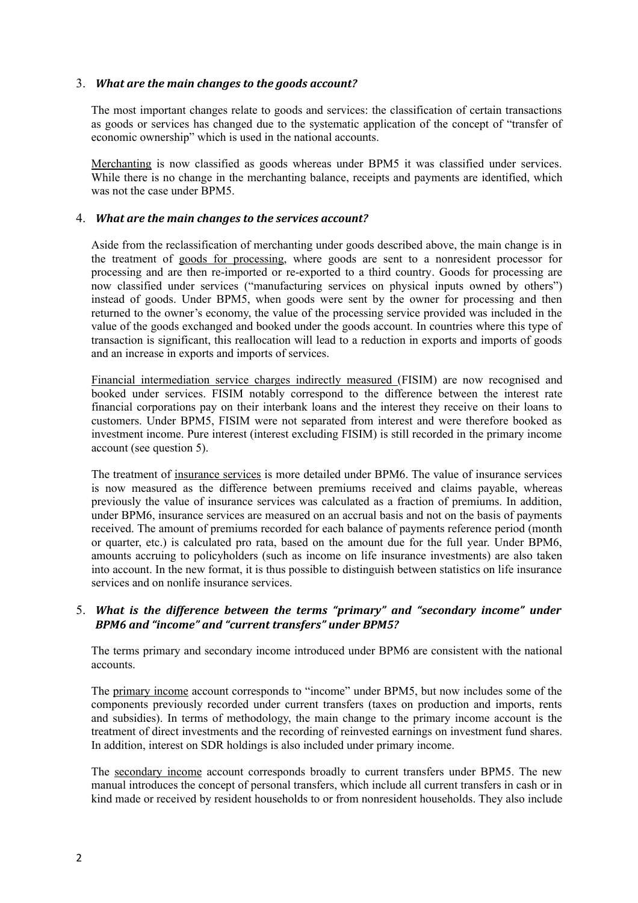#### 3. *What are the main changes to the goods account?*

The most important changes relate to goods and services: the classification of certain transactions as goods or services has changed due to the systematic application of the concept of "transfer of economic ownership" which is used in the national accounts.

Merchanting is now classified as goods whereas under BPM5 it was classified under services. While there is no change in the merchanting balance, receipts and payments are identified, which was not the case under BPM5.

#### 4. *What are the main changes to the services account?*

Aside from the reclassification of merchanting under goods described above, the main change is in the treatment of goods for processing, where goods are sent to a nonresident processor for processing and are then re-imported or re-exported to a third country. Goods for processing are now classified under services ("manufacturing services on physical inputs owned by others") instead of goods. Under BPM5, when goods were sent by the owner for processing and then returned to the owner's economy, the value of the processing service provided was included in the value of the goods exchanged and booked under the goods account. In countries where this type of transaction is significant, this reallocation will lead to a reduction in exports and imports of goods and an increase in exports and imports of services.

Financial intermediation service charges indirectly measured (FISIM) are now recognised and booked under services. FISIM notably correspond to the difference between the interest rate financial corporations pay on their interbank loans and the interest they receive on their loans to customers. Under BPM5, FISIM were not separated from interest and were therefore booked as investment income. Pure interest (interest excluding FISIM) is still recorded in the primary income account (see question 5).

The treatment of insurance services is more detailed under BPM6. The value of insurance services is now measured as the difference between premiums received and claims payable, whereas previously the value of insurance services was calculated as a fraction of premiums. In addition, under BPM6, insurance services are measured on an accrual basis and not on the basis of payments received. The amount of premiums recorded for each balance of payments reference period (month or quarter, etc.) is calculated pro rata, based on the amount due for the full year. Under BPM6, amounts accruing to policyholders (such as income on life insurance investments) are also taken into account. In the new format, it is thus possible to distinguish between statistics on life insurance services and on nonlife insurance services.

#### 5. *What is the difference between the terms "primary" and "secondary income" under BPM6 and "income" and "current transfers" under BPM5?*

The terms primary and secondary income introduced under BPM6 are consistent with the national accounts.

The primary income account corresponds to "income" under BPM5, but now includes some of the components previously recorded under current transfers (taxes on production and imports, rents and subsidies). In terms of methodology, the main change to the primary income account is the treatment of direct investments and the recording of reinvested earnings on investment fund shares. In addition, interest on SDR holdings is also included under primary income.

The secondary income account corresponds broadly to current transfers under BPM5. The new manual introduces the concept of personal transfers, which include all current transfers in cash or in kind made or received by resident households to or from nonresident households. They also include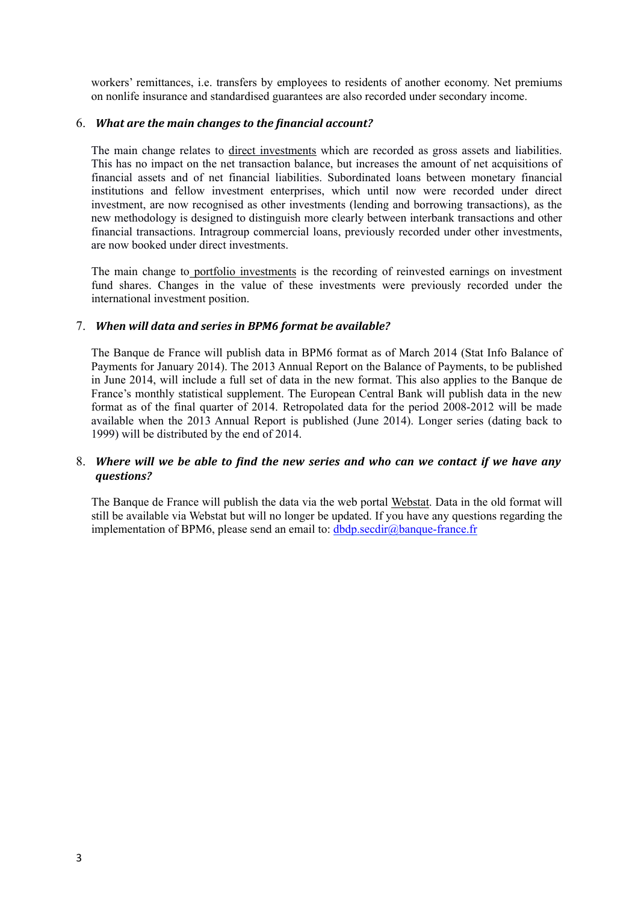workers' remittances, i.e. transfers by employees to residents of another economy. Net premiums on nonlife insurance and standardised guarantees are also recorded under secondary income.

#### 6. *What are the main changes to the financial account?*

The main change relates to direct investments which are recorded as gross assets and liabilities. This has no impact on the net transaction balance, but increases the amount of net acquisitions of financial assets and of net financial liabilities. Subordinated loans between monetary financial institutions and fellow investment enterprises, which until now were recorded under direct investment, are now recognised as other investments (lending and borrowing transactions), as the new methodology is designed to distinguish more clearly between interbank transactions and other financial transactions. Intragroup commercial loans, previously recorded under other investments, are now booked under direct investments.

The main change to portfolio investments is the recording of reinvested earnings on investment fund shares. Changes in the value of these investments were previously recorded under the international investment position.

#### 7. When will data and series in BPM6 format be available?

The Banque de France will publish data in BPM6 format as of March 2014 (Stat Info Balance of Payments for January 2014). The 2013 Annual Report on the Balance of Payments, to be published in June 2014, will include a full set of data in the new format. This also applies to the Banque de France's monthly statistical supplement. The European Central Bank will publish data in the new format as of the final quarter of 2014. Retropolated data for the period 2008-2012 will be made available when the 2013 Annual Report is published (June 2014). Longer series (dating back to 1999) will be distributed by the end of 2014.

#### 8. *Where will we be able to ?ind the new series and who can we contact if we have any questions?*

The Banque de France will publish the data via the web portal Webstat. Data in the old format will still be available via Webstat but will no longer be updated. If you have any questions regarding the implementation of BPM6, please send an email to: dbdp.secdir@banque-france.fr